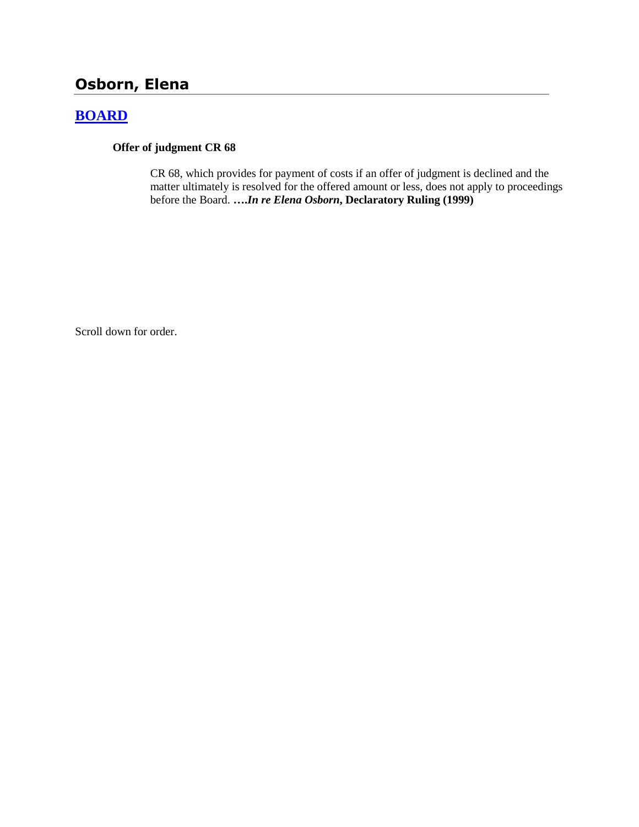# **Osborn, Elena**

# **[BOARD](http://www.biia.wa.gov/SDSubjectIndex.html#BOARD)**

## **Offer of judgment CR 68**

CR 68, which provides for payment of costs if an offer of judgment is declined and the matter ultimately is resolved for the offered amount or less, does not apply to proceedings before the Board. **….***In re Elena Osborn***, Declaratory Ruling (1999)** 

Scroll down for order.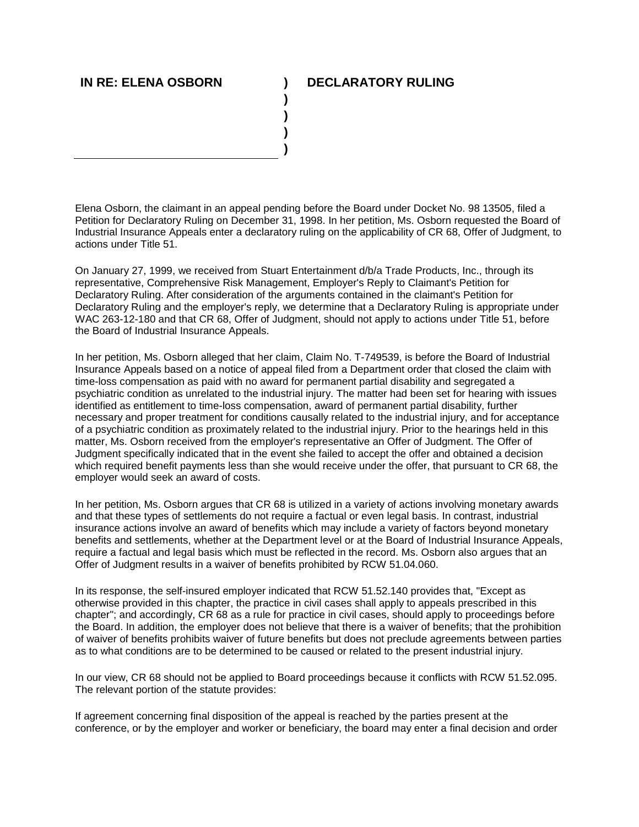## **IN RE: ELENA OSBORN ) DECLARATORY RULING**

Elena Osborn, the claimant in an appeal pending before the Board under Docket No. 98 13505, filed a Petition for Declaratory Ruling on December 31, 1998. In her petition, Ms. Osborn requested the Board of Industrial Insurance Appeals enter a declaratory ruling on the applicability of CR 68, Offer of Judgment, to actions under Title 51.

**) ) ) )**

On January 27, 1999, we received from Stuart Entertainment d/b/a Trade Products, Inc., through its representative, Comprehensive Risk Management, Employer's Reply to Claimant's Petition for Declaratory Ruling. After consideration of the arguments contained in the claimant's Petition for Declaratory Ruling and the employer's reply, we determine that a Declaratory Ruling is appropriate under WAC 263-12-180 and that CR 68, Offer of Judgment, should not apply to actions under Title 51, before the Board of Industrial Insurance Appeals.

In her petition, Ms. Osborn alleged that her claim, Claim No. T-749539, is before the Board of Industrial Insurance Appeals based on a notice of appeal filed from a Department order that closed the claim with time-loss compensation as paid with no award for permanent partial disability and segregated a psychiatric condition as unrelated to the industrial injury. The matter had been set for hearing with issues identified as entitlement to time-loss compensation, award of permanent partial disability, further necessary and proper treatment for conditions causally related to the industrial injury, and for acceptance of a psychiatric condition as proximately related to the industrial injury. Prior to the hearings held in this matter, Ms. Osborn received from the employer's representative an Offer of Judgment. The Offer of Judgment specifically indicated that in the event she failed to accept the offer and obtained a decision which required benefit payments less than she would receive under the offer, that pursuant to CR 68, the employer would seek an award of costs.

In her petition, Ms. Osborn argues that CR 68 is utilized in a variety of actions involving monetary awards and that these types of settlements do not require a factual or even legal basis. In contrast, industrial insurance actions involve an award of benefits which may include a variety of factors beyond monetary benefits and settlements, whether at the Department level or at the Board of Industrial Insurance Appeals, require a factual and legal basis which must be reflected in the record. Ms. Osborn also argues that an Offer of Judgment results in a waiver of benefits prohibited by RCW 51.04.060.

In its response, the self-insured employer indicated that RCW 51.52.140 provides that, "Except as otherwise provided in this chapter, the practice in civil cases shall apply to appeals prescribed in this chapter"; and accordingly, CR 68 as a rule for practice in civil cases, should apply to proceedings before the Board. In addition, the employer does not believe that there is a waiver of benefits; that the prohibition of waiver of benefits prohibits waiver of future benefits but does not preclude agreements between parties as to what conditions are to be determined to be caused or related to the present industrial injury.

In our view, CR 68 should not be applied to Board proceedings because it conflicts with RCW 51.52.095. The relevant portion of the statute provides:

If agreement concerning final disposition of the appeal is reached by the parties present at the conference, or by the employer and worker or beneficiary, the board may enter a final decision and order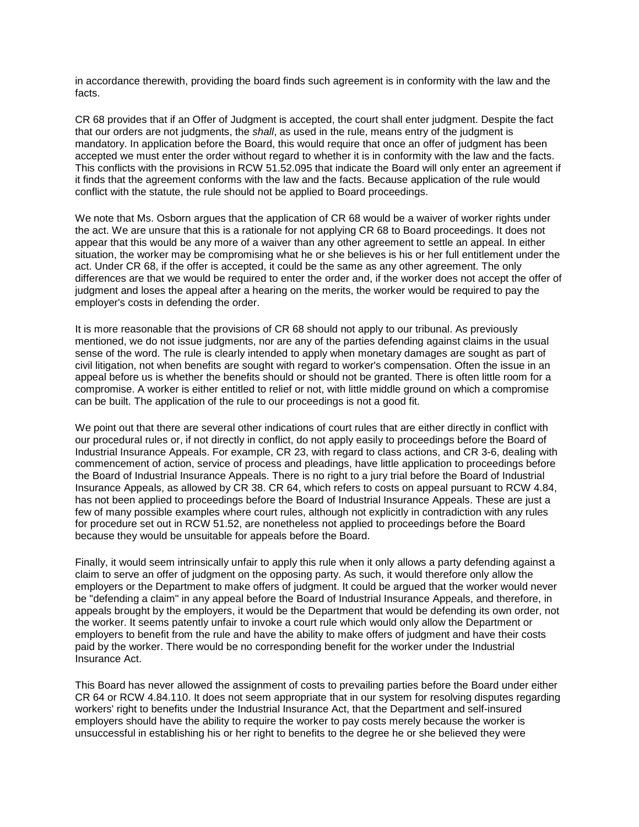in accordance therewith, providing the board finds such agreement is in conformity with the law and the facts.

CR 68 provides that if an Offer of Judgment is accepted, the court shall enter judgment. Despite the fact that our orders are not judgments, the *shall*, as used in the rule, means entry of the judgment is mandatory. In application before the Board, this would require that once an offer of judgment has been accepted we must enter the order without regard to whether it is in conformity with the law and the facts. This conflicts with the provisions in RCW 51.52.095 that indicate the Board will only enter an agreement if it finds that the agreement conforms with the law and the facts. Because application of the rule would conflict with the statute, the rule should not be applied to Board proceedings.

We note that Ms. Osborn argues that the application of CR 68 would be a waiver of worker rights under the act. We are unsure that this is a rationale for not applying CR 68 to Board proceedings. It does not appear that this would be any more of a waiver than any other agreement to settle an appeal. In either situation, the worker may be compromising what he or she believes is his or her full entitlement under the act. Under CR 68, if the offer is accepted, it could be the same as any other agreement. The only differences are that we would be required to enter the order and, if the worker does not accept the offer of judgment and loses the appeal after a hearing on the merits, the worker would be required to pay the employer's costs in defending the order.

It is more reasonable that the provisions of CR 68 should not apply to our tribunal. As previously mentioned, we do not issue judgments, nor are any of the parties defending against claims in the usual sense of the word. The rule is clearly intended to apply when monetary damages are sought as part of civil litigation, not when benefits are sought with regard to worker's compensation. Often the issue in an appeal before us is whether the benefits should or should not be granted. There is often little room for a compromise. A worker is either entitled to relief or not, with little middle ground on which a compromise can be built. The application of the rule to our proceedings is not a good fit.

We point out that there are several other indications of court rules that are either directly in conflict with our procedural rules or, if not directly in conflict, do not apply easily to proceedings before the Board of Industrial Insurance Appeals. For example, CR 23, with regard to class actions, and CR 3-6, dealing with commencement of action, service of process and pleadings, have little application to proceedings before the Board of Industrial Insurance Appeals. There is no right to a jury trial before the Board of Industrial Insurance Appeals, as allowed by CR 38. CR 64, which refers to costs on appeal pursuant to RCW 4.84, has not been applied to proceedings before the Board of Industrial Insurance Appeals. These are just a few of many possible examples where court rules, although not explicitly in contradiction with any rules for procedure set out in RCW 51.52, are nonetheless not applied to proceedings before the Board because they would be unsuitable for appeals before the Board.

Finally, it would seem intrinsically unfair to apply this rule when it only allows a party defending against a claim to serve an offer of judgment on the opposing party. As such, it would therefore only allow the employers or the Department to make offers of judgment. It could be argued that the worker would never be "defending a claim" in any appeal before the Board of Industrial Insurance Appeals, and therefore, in appeals brought by the employers, it would be the Department that would be defending its own order, not the worker. It seems patently unfair to invoke a court rule which would only allow the Department or employers to benefit from the rule and have the ability to make offers of judgment and have their costs paid by the worker. There would be no corresponding benefit for the worker under the Industrial Insurance Act.

This Board has never allowed the assignment of costs to prevailing parties before the Board under either CR 64 or RCW 4.84.110. It does not seem appropriate that in our system for resolving disputes regarding workers' right to benefits under the Industrial Insurance Act, that the Department and self-insured employers should have the ability to require the worker to pay costs merely because the worker is unsuccessful in establishing his or her right to benefits to the degree he or she believed they were